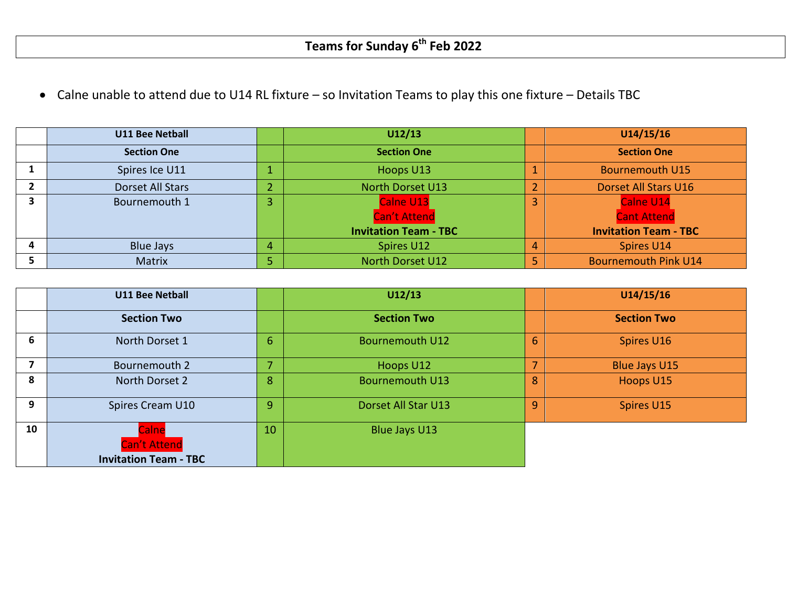Calne unable to attend due to U14 RL fixture – so Invitation Teams to play this one fixture – Details TBC

| <b>U11 Bee Netball</b> |   | U12/13                       | U14/15/16                    |
|------------------------|---|------------------------------|------------------------------|
| <b>Section One</b>     |   | <b>Section One</b>           | <b>Section One</b>           |
| Spires Ice U11         |   | Hoops U13                    | <b>Bournemouth U15</b>       |
| Dorset All Stars       |   | <b>North Dorset U13</b>      | <b>Dorset All Stars U16</b>  |
| Bournemouth 1          |   | Calne U13                    | Calne U14                    |
|                        |   | <b>Can't Attend</b>          | <b>Cant Attend</b>           |
|                        |   | <b>Invitation Team - TBC</b> | <b>Invitation Team - TBC</b> |
| <b>Blue Jays</b>       | 4 | Spires U12                   | Spires U14                   |
| <b>Matrix</b>          |   | <b>North Dorset U12</b>      | <b>Bournemouth Pink U14</b>  |

|    | <b>U11 Bee Netball</b>                                       |                          | U12/13                 |   | U14/15/16            |
|----|--------------------------------------------------------------|--------------------------|------------------------|---|----------------------|
|    | <b>Section Two</b>                                           |                          | <b>Section Two</b>     |   | <b>Section Two</b>   |
| 6  | North Dorset 1                                               | $6\phantom{1}$           | <b>Bournemouth U12</b> | 6 | Spires U16           |
|    | Bournemouth 2                                                | $\overline{\phantom{a}}$ | Hoops U12              |   | <b>Blue Jays U15</b> |
| 8  | North Dorset 2                                               | 8                        | <b>Bournemouth U13</b> | 8 | Hoops U15            |
| 9  | Spires Cream U10                                             | 9.                       | Dorset All Star U13    | 9 | Spires U15           |
| 10 | Calne<br><b>Can't Attend</b><br><b>Invitation Team - TBC</b> | 10                       | Blue Jays U13          |   |                      |